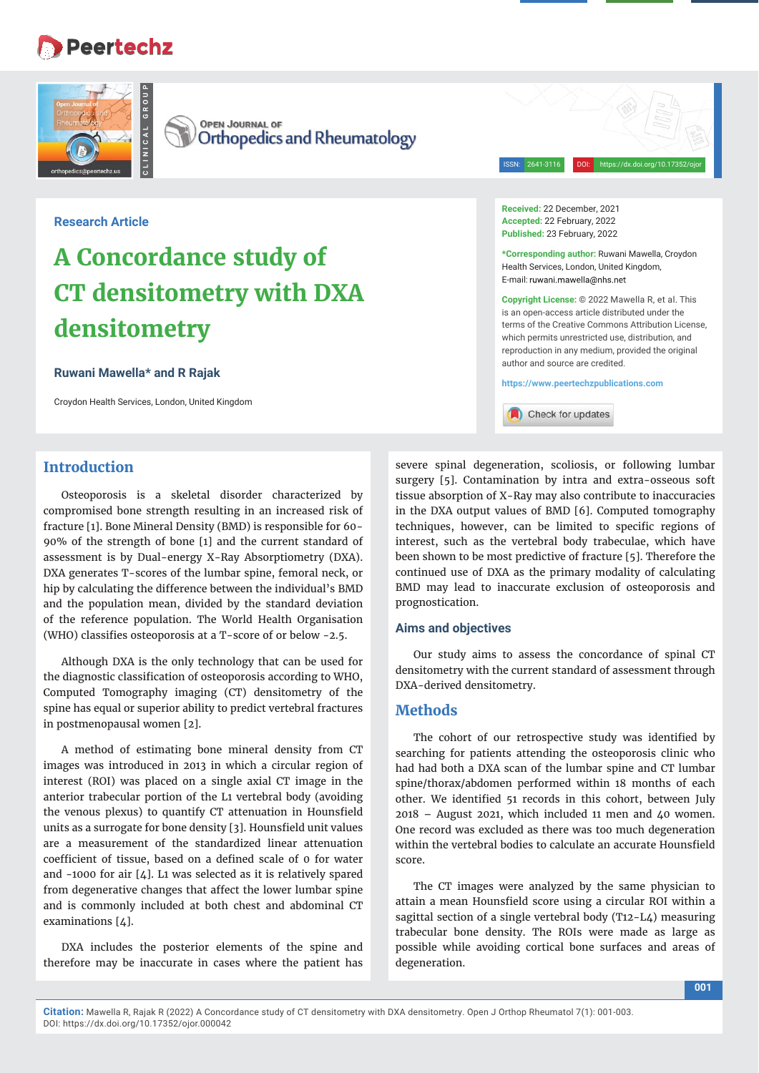## **Peertechz**



**OPEN JOURNAL OF Orthopedics and Rheumatology** 

**Research Article**

# **A Concordance study of CT densitometry with DXA densitometry**

#### **Ruwani Mawella\* and R Rajak**

Croydon Health Services, London, United Kingdom

## **Introduction**

Osteoporosis is a skeletal disorder characterized by compromised bone strength resulting in an increased risk of fracture [1]. Bone Mineral Density (BMD) is responsible for 60- 90% of the strength of bone [1] and the current standard of assessment is by Dual-energy X-Ray Absorptiometry (DXA). DXA generates T-scores of the lumbar spine, femoral neck, or hip by calculating the difference between the individual's BMD and the population mean, divided by the standard deviation of the reference population. The World Health Organisation (WHO) classifies osteoporosis at a  $T$ -score of or below -2.5.

Although DXA is the only technology that can be used for the diagnostic classification of osteoporosis according to WHO, Computed Tomography imaging (CT) densitometry of the spine has equal or superior ability to predict vertebral fractures in postmenopausal women [2].

A method of estimating bone mineral density from CT images was introduced in 2013 in which a circular region of interest (ROI) was placed on a single axial CT image in the anterior trabecular portion of the L1 vertebral body (avoiding the venous plexus) to quantify CT attenuation in Hounsfield units as a surrogate for bone density [3]. Hounsfield unit values are a measurement of the standardized linear attenuation coefficient of tissue, based on a defined scale of 0 for water and -1000 for air  $[4]$ . L1 was selected as it is relatively spared from degenerative changes that affect the lower lumbar spine and is commonly included at both chest and abdominal CT examinations [4].

DXA includes the posterior elements of the spine and therefore may be inaccurate in cases where the patient has

**Received:** 22 December, 2021 **Accepted:** 22 February, 2022 **Published:** 23 February, 2022

**\*Corresponding author:** Ruwani Mawella, Croydon Health Services, London, United Kingdom, E-mail: ruwani.mawella@nhs.net

ISSN: 2641-3116 DOI: https://dx.doi.org/10.17352/oj

**Copyright License:** © 2022 Mawella R, et al. This is an open-access article distributed under the terms of the Creative Commons Attribution License, which permits unrestricted use, distribution, and reproduction in any medium, provided the original author and source are credited.

**https://www.peertechzpublications.com**

Check for updates

severe spinal degeneration, scoliosis, or following lumbar surgery [5]. Contamination by intra and extra-osseous soft tissue absorption of X-Ray may also contribute to inaccuracies in the DXA output values of BMD [6]. Computed tomography techniques, however, can be limited to specific regions of interest, such as the vertebral body trabeculae, which have been shown to be most predictive of fracture [5]. Therefore the continued use of DXA as the primary modality of calculating BMD may lead to inaccurate exclusion of osteoporosis and prognostication.

#### **Aims and objectives**

Our study aims to assess the concordance of spinal CT densitometry with the current standard of assessment through DXA-derived densitometry.

## **Methods**

The cohort of our retrospective study was identified by searching for patients attending the osteoporosis clinic who had had both a DXA scan of the lumbar spine and CT lumbar spine/thorax/abdomen performed within 18 months of each other. We identified 51 records in this cohort, between July 2018 – August 2021, which included 11 men and 40 women. One record was excluded as there was too much degeneration within the vertebral bodies to calculate an accurate Hounsfield score.

The CT images were analyzed by the same physician to attain a mean Hounsfield score using a circular ROI within a sagittal section of a single vertebral body (T12-L4) measuring trabecular bone density. The ROIs were made as large as possible while avoiding cortical bone surfaces and areas of degeneration.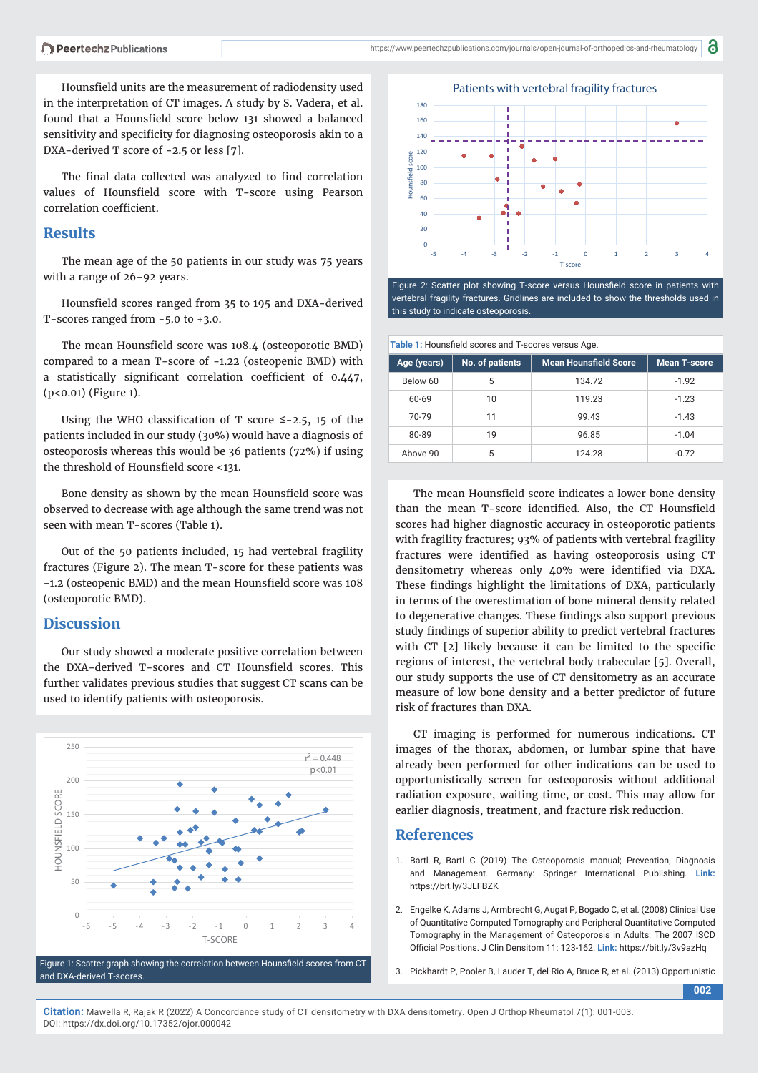Hounsfield units are the measurement of radiodensity used in the interpretation of CT images. A study by S. Vadera, et al. found that a Hounsfield score below 131 showed a balanced sensitivity and specificity for diagnosing osteoporosis akin to a DXA-derived T score of -2.5 or less [7].

The final data collected was analyzed to find correlation values of Hounsfield score with T-score using Pearson correlation coefficient.

## **Results**

The mean age of the 50 patients in our study was 75 years with a range of 26-92 years.

Hounsfield scores ranged from 35 to 195 and DXA-derived T-scores ranged from -5.0 to +3.0.

The mean Hounsfield score was 108.4 (osteoporotic BMD) compared to a mean T-score of -1.22 (osteopenic BMD) with a statistically significant correlation coefficient of  $0.447$ , (p<0.01) (Figure 1).

Using the WHO classification of T score  $\leq$  -2.5, 15 of the patients included in our study (30%) would have a diagnosis of osteoporosis whereas this would be 36 patients (72%) if using the threshold of Hounsfield score <131.

Bone density as shown by the mean Hounsfield score was observed to decrease with age although the same trend was not seen with mean T-scores (Table 1).

Out of the 50 patients included, 15 had vertebral fragility fractures (Figure 2). The mean T-score for these patients was -1.2 (osteopenic BMD) and the mean Hounsfield score was 108 (osteoporotic BMD).

## **Discussion**

Our study showed a moderate positive correlation between the DXA-derived T-scores and CT Hounsfield scores. This further validates previous studies that suggest CT scans can be used to identify patients with osteoporosis.



Figure 1: Scatter graph showing the correlation between Hounsfield scores from CT and DXA-derived T-scores.



Figure 2: Scatter plot showing T-score versus Hounsfield score in patients with vertebral fragility fractures. Gridlines are included to show the thresholds used in this study to indicate osteoporosis.

**Table 1:** Hounsfield scores and T-scores versus Age.

|             |                 | $\tilde{\phantom{a}}$        |                     |
|-------------|-----------------|------------------------------|---------------------|
| Age (years) | No. of patients | <b>Mean Hounsfield Score</b> | <b>Mean T-score</b> |
| Below 60    | 5               | 134.72                       | $-1.92$             |
| 60-69       | 10              | 119.23                       | $-1.23$             |
| 70-79       | 11              | 99.43                        | $-1.43$             |
| 80-89       | 19              | 96.85                        | $-1.04$             |
| Above 90    | 5               | 124.28                       | $-0.72$             |

The mean Hounsfield score indicates a lower bone density than the mean T-score identified. Also, the CT Hounsfield scores had higher diagnostic accuracy in osteoporotic patients with fragility fractures; 93% of patients with vertebral fragility fractures were identified as having osteoporosis using CT densitometry whereas only 40% were identified via DXA. These findings highlight the limitations of DXA, particularly in terms of the overestimation of bone mineral density related to degenerative changes. These findings also support previous study findings of superior ability to predict vertebral fractures with  $CT$  [2] likely because it can be limited to the specific regions of interest, the vertebral body trabeculae [5]. Overall, our study supports the use of CT densitometry as an accurate measure of low bone density and a better predictor of future risk of fractures than DXA.

CT imaging is performed for numerous indications. CT images of the thorax, abdomen, or lumbar spine that have already been performed for other indications can be used to opportunistically screen for osteoporosis without additional radiation exposure, waiting time, or cost. This may allow for earlier diagnosis, treatment, and fracture risk reduction.

## **References**

- 1. Bartl R, Bartl C (2019) The Osteoporosis manual; Prevention, Diagnosis and Management. Germany: Springer International Publishing. **Link:** https://bit.ly/3JLFBZK
- 2. Engelke K, Adams J, Armbrecht G, Augat P, Bogado C, et al. (2008) Clinical Use of Quantitative Computed Tomography and Peripheral Quantitative Computed Tomography in the Management of Osteoporosis in Adults: The 2007 ISCD Official Positions. J Clin Densitom 11: 123-162. Link: https://bit.ly/3v9azHq
- 3. Pickhardt P, Pooler B, Lauder T, del Rio A, Bruce R, et al. (2013) Opportunistic

**002**

**Citation:** Mawella R, Rajak R (2022) A Concordance study of CT densitometry with DXA densitometry. Open J Orthop Rheumatol 7(1): 001-003. DOI: https://dx.doi.org/10.17352/ojor.000042